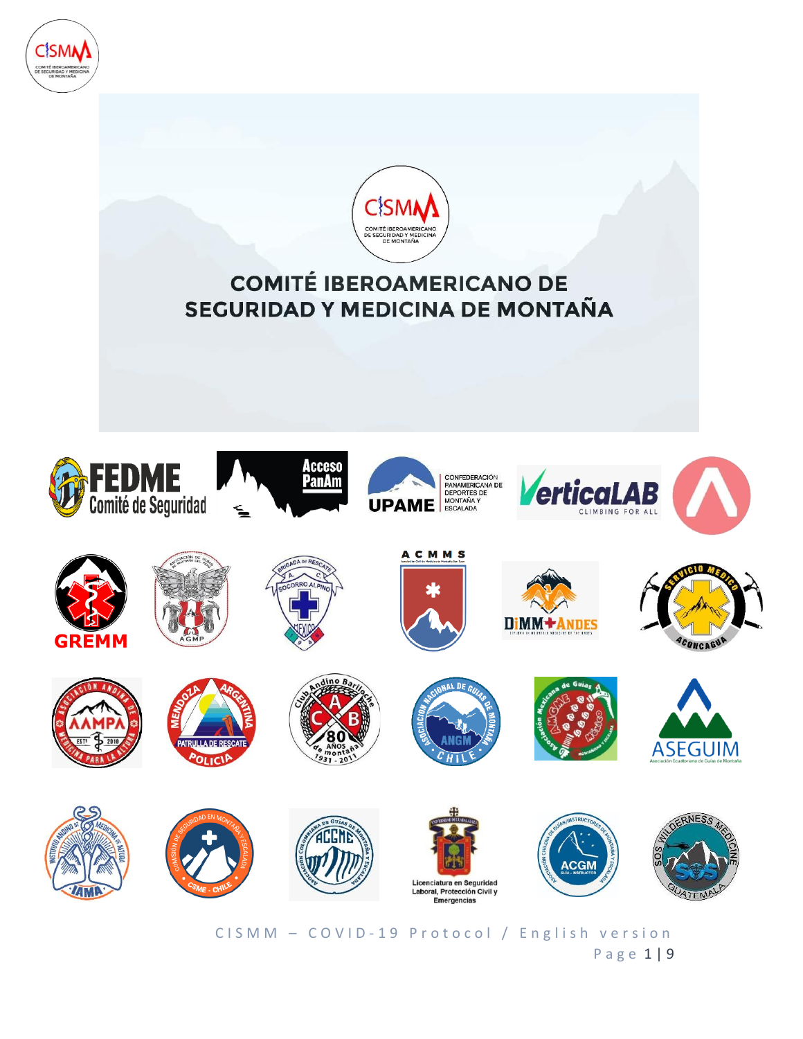



CISMM - COVID-19 Protocol / English version P a g e 1 | 9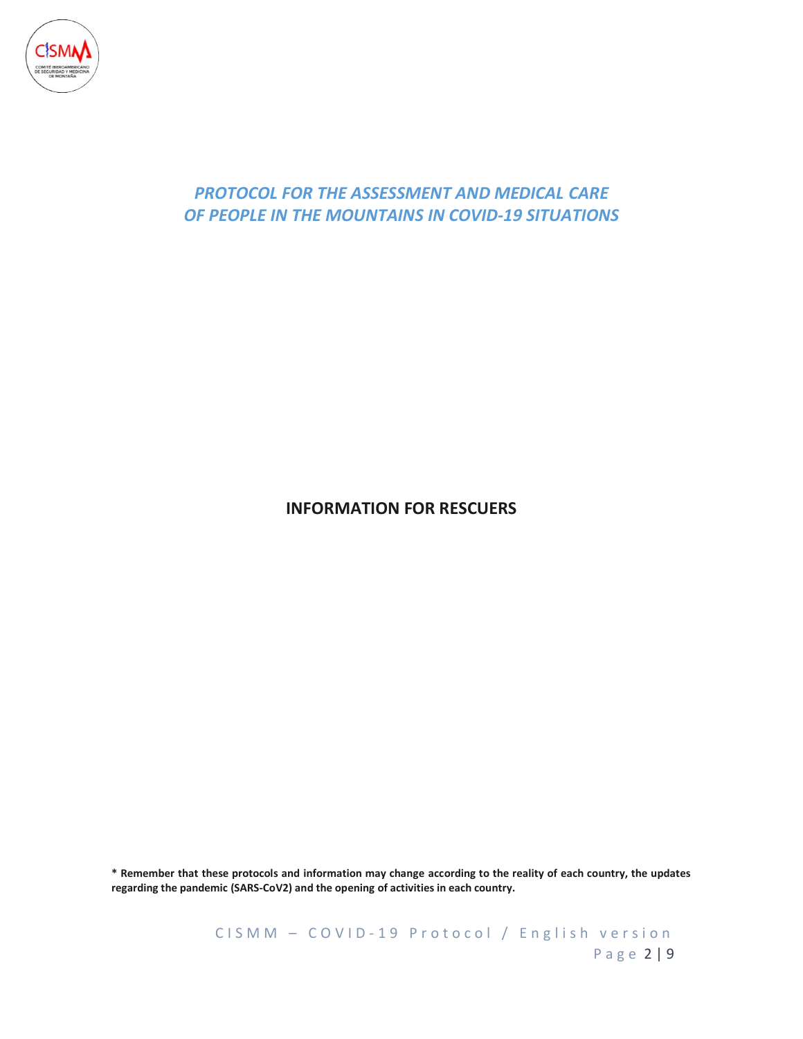

## *PROTOCOL FOR THE ASSESSMENT AND MEDICAL CARE OF PEOPLE IN THE MOUNTAINS IN COVID-19 SITUATIONS*

### **INFORMATION FOR RESCUERS**

**\* Remember that these protocols and information may change according to the reality of each country, the updates regarding the pandemic (SARS-CoV2) and the opening of activities in each country.**

> C I S M M - C O V I D - 19 P r o t o c o l / English version P a g e 2 | 9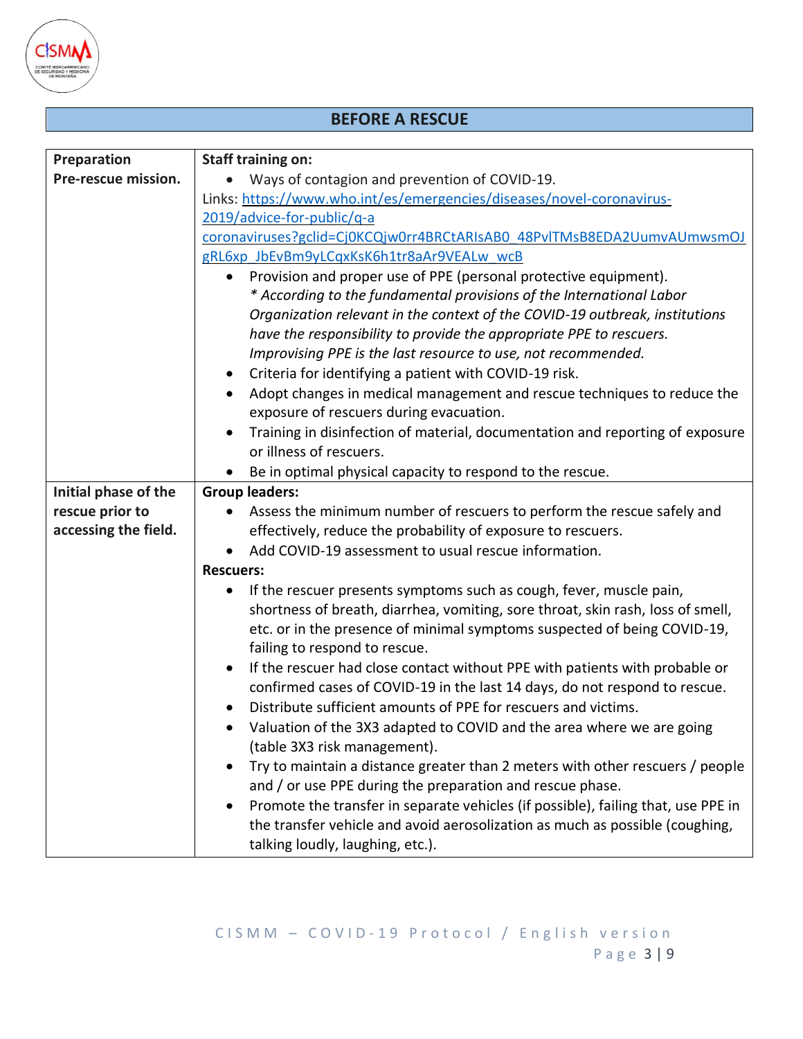

## **BEFORE A RESCUE**

| Preparation          | <b>Staff training on:</b>                                                                                                                                 |  |
|----------------------|-----------------------------------------------------------------------------------------------------------------------------------------------------------|--|
| Pre-rescue mission.  | Ways of contagion and prevention of COVID-19.                                                                                                             |  |
|                      | Links: https://www.who.int/es/emergencies/diseases/novel-coronavirus-<br>2019/advice-for-public/q-a                                                       |  |
|                      |                                                                                                                                                           |  |
|                      | coronaviruses?gclid=Cj0KCQjw0rr4BRCtARIsAB0_48PvlTMsB8EDA2UumvAUmwsmOJ                                                                                    |  |
|                      | gRL6xp JbEvBm9yLCqxKsK6h1tr8aAr9VEALw wcB                                                                                                                 |  |
|                      | Provision and proper use of PPE (personal protective equipment).<br>* According to the fundamental provisions of the International Labor                  |  |
|                      | Organization relevant in the context of the COVID-19 outbreak, institutions                                                                               |  |
|                      | have the responsibility to provide the appropriate PPE to rescuers.                                                                                       |  |
|                      | Improvising PPE is the last resource to use, not recommended.                                                                                             |  |
|                      | Criteria for identifying a patient with COVID-19 risk.<br>٠                                                                                               |  |
|                      | Adopt changes in medical management and rescue techniques to reduce the                                                                                   |  |
|                      | exposure of rescuers during evacuation.                                                                                                                   |  |
|                      | Training in disinfection of material, documentation and reporting of exposure                                                                             |  |
|                      | or illness of rescuers.                                                                                                                                   |  |
|                      | Be in optimal physical capacity to respond to the rescue.                                                                                                 |  |
| Initial phase of the | <b>Group leaders:</b>                                                                                                                                     |  |
| rescue prior to      | Assess the minimum number of rescuers to perform the rescue safely and                                                                                    |  |
| accessing the field. | effectively, reduce the probability of exposure to rescuers.                                                                                              |  |
|                      | Add COVID-19 assessment to usual rescue information.                                                                                                      |  |
|                      | <b>Rescuers:</b>                                                                                                                                          |  |
|                      | If the rescuer presents symptoms such as cough, fever, muscle pain,<br>٠                                                                                  |  |
|                      | shortness of breath, diarrhea, vomiting, sore throat, skin rash, loss of smell,                                                                           |  |
|                      | etc. or in the presence of minimal symptoms suspected of being COVID-19,                                                                                  |  |
|                      | failing to respond to rescue.                                                                                                                             |  |
|                      | If the rescuer had close contact without PPE with patients with probable or<br>confirmed cases of COVID-19 in the last 14 days, do not respond to rescue. |  |
|                      | Distribute sufficient amounts of PPE for rescuers and victims.                                                                                            |  |
|                      | Valuation of the 3X3 adapted to COVID and the area where we are going                                                                                     |  |
|                      | (table 3X3 risk management).                                                                                                                              |  |
|                      | Try to maintain a distance greater than 2 meters with other rescuers / people<br>and / or use PPE during the preparation and rescue phase.                |  |
|                      | Promote the transfer in separate vehicles (if possible), failing that, use PPE in                                                                         |  |
|                      | the transfer vehicle and avoid aerosolization as much as possible (coughing,                                                                              |  |
|                      | talking loudly, laughing, etc.).                                                                                                                          |  |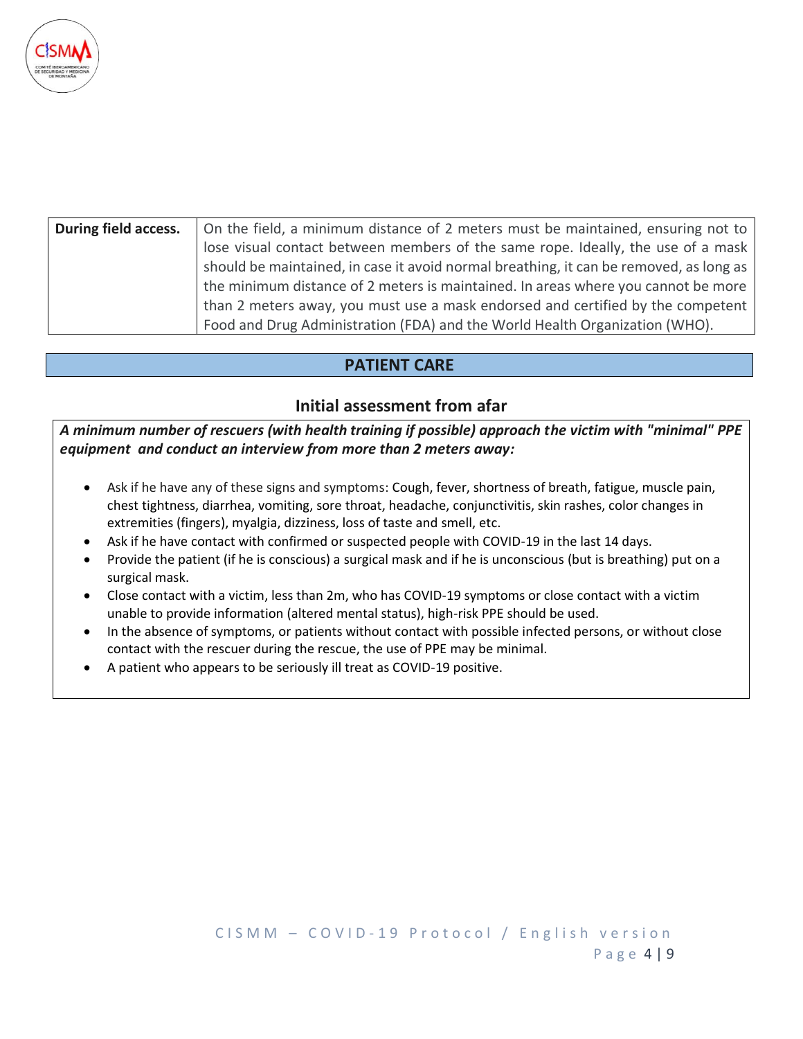

| During field access. | On the field, a minimum distance of 2 meters must be maintained, ensuring not to       |
|----------------------|----------------------------------------------------------------------------------------|
|                      | lose visual contact between members of the same rope. Ideally, the use of a mask       |
|                      | should be maintained, in case it avoid normal breathing, it can be removed, as long as |
|                      | the minimum distance of 2 meters is maintained. In areas where you cannot be more      |
|                      | than 2 meters away, you must use a mask endorsed and certified by the competent        |
|                      | Food and Drug Administration (FDA) and the World Health Organization (WHO).            |

### **PATIENT CARE**

#### **Initial assessment from afar**

*A minimum number of rescuers (with health training if possible) approach the victim with "minimal" PPE equipment and conduct an interview from more than 2 meters away:*

- Ask if he have any of these signs and symptoms: Cough, fever, shortness of breath, fatigue, muscle pain, chest tightness, diarrhea, vomiting, sore throat, headache, conjunctivitis, skin rashes, color changes in extremities (fingers), myalgia, dizziness, loss of taste and smell, etc.
- Ask if he have contact with confirmed or suspected people with COVID-19 in the last 14 days.
- Provide the patient (if he is conscious) a surgical mask and if he is unconscious (but is breathing) put on a surgical mask.
- Close contact with a victim, less than 2m, who has COVID-19 symptoms or close contact with a victim unable to provide information (altered mental status), high-risk PPE should be used.
- In the absence of symptoms, or patients without contact with possible infected persons, or without close contact with the rescuer during the rescue, the use of PPE may be minimal.
- A patient who appears to be seriously ill treat as COVID-19 positive.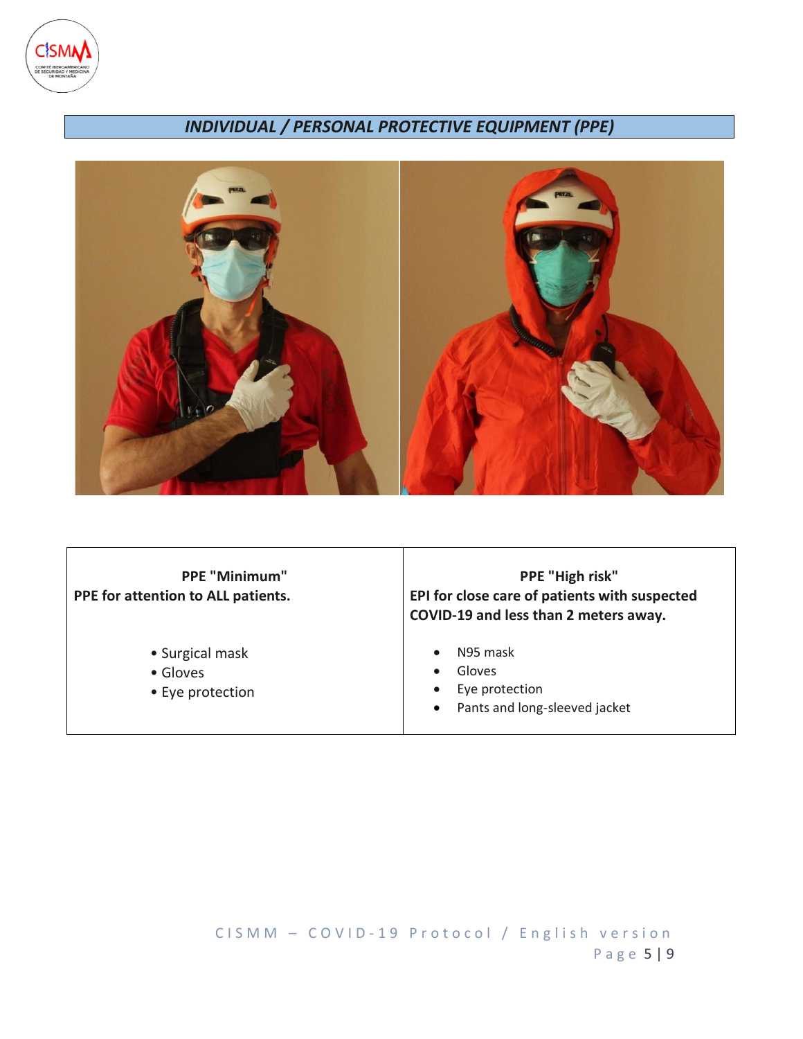

# *INDIVIDUAL / PERSONAL PROTECTIVE EQUIPMENT (PPE)*



| <b>PPE "Minimum"</b><br>PPE for attention to ALL patients. | PPE "High risk"<br>EPI for close care of patients with suspected<br>COVID-19 and less than 2 meters away. |
|------------------------------------------------------------|-----------------------------------------------------------------------------------------------------------|
| • Surgical mask<br>• Gloves<br>• Eye protection            | N95 mask<br>Gloves<br>Eye protection<br>$\bullet$<br>Pants and long-sleeved jacket<br>$\bullet$           |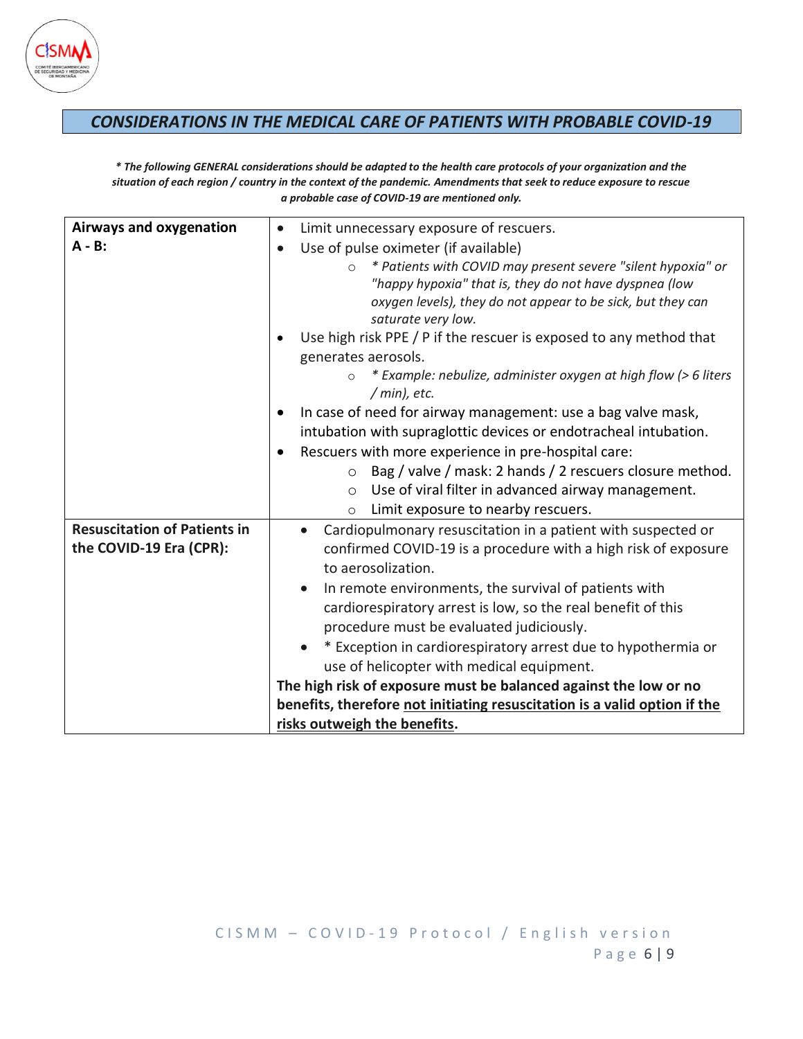

### *CONSIDERATIONS IN THE MEDICAL CARE OF PATIENTS WITH PROBABLE COVID-19*

*\* The following GENERAL considerations should be adapted to the health care protocols of your organization and the situation of each region / country in the context of the pandemic. Amendments that seek to reduce exposure to rescue a probable case of COVID-19 are mentioned only.*

| Airways and oxygenation<br>Limit unnecessary exposure of rescuers.<br>$\bullet$<br>$A - B$ :<br>Use of pulse oximeter (if available)<br>$\bullet$<br>* Patients with COVID may present severe "silent hypoxia" or<br>$\circ$<br>"happy hypoxia" that is, they do not have dyspnea (low<br>oxygen levels), they do not appear to be sick, but they can<br>saturate very low.<br>Use high risk PPE / P if the rescuer is exposed to any method that<br>generates aerosols.<br>* Example: nebulize, administer oxygen at high flow (> 6 liters<br>$\circ$<br>$/min$ , etc.<br>In case of need for airway management: use a bag valve mask,<br>$\bullet$<br>intubation with supraglottic devices or endotracheal intubation.<br>Rescuers with more experience in pre-hospital care:<br>$\bullet$<br>Bag / valve / mask: 2 hands / 2 rescuers closure method.<br>$\circ$<br>Use of viral filter in advanced airway management.<br>$\circ$<br>Limit exposure to nearby rescuers.<br>$\circ$<br><b>Resuscitation of Patients in</b><br>Cardiopulmonary resuscitation in a patient with suspected or<br>$\bullet$<br>the COVID-19 Era (CPR):<br>confirmed COVID-19 is a procedure with a high risk of exposure<br>to aerosolization.<br>In remote environments, the survival of patients with<br>cardiorespiratory arrest is low, so the real benefit of this<br>procedure must be evaluated judiciously.<br>* Exception in cardiorespiratory arrest due to hypothermia or<br>use of helicopter with medical equipment.<br>The high risk of exposure must be balanced against the low or no<br>benefits, therefore not initiating resuscitation is a valid option if the<br>risks outweigh the benefits. |  |  |  |  |
|--------------------------------------------------------------------------------------------------------------------------------------------------------------------------------------------------------------------------------------------------------------------------------------------------------------------------------------------------------------------------------------------------------------------------------------------------------------------------------------------------------------------------------------------------------------------------------------------------------------------------------------------------------------------------------------------------------------------------------------------------------------------------------------------------------------------------------------------------------------------------------------------------------------------------------------------------------------------------------------------------------------------------------------------------------------------------------------------------------------------------------------------------------------------------------------------------------------------------------------------------------------------------------------------------------------------------------------------------------------------------------------------------------------------------------------------------------------------------------------------------------------------------------------------------------------------------------------------------------------------------------------------------------------------------------------------------|--|--|--|--|
|                                                                                                                                                                                                                                                                                                                                                                                                                                                                                                                                                                                                                                                                                                                                                                                                                                                                                                                                                                                                                                                                                                                                                                                                                                                                                                                                                                                                                                                                                                                                                                                                                                                                                                  |  |  |  |  |
|                                                                                                                                                                                                                                                                                                                                                                                                                                                                                                                                                                                                                                                                                                                                                                                                                                                                                                                                                                                                                                                                                                                                                                                                                                                                                                                                                                                                                                                                                                                                                                                                                                                                                                  |  |  |  |  |
|                                                                                                                                                                                                                                                                                                                                                                                                                                                                                                                                                                                                                                                                                                                                                                                                                                                                                                                                                                                                                                                                                                                                                                                                                                                                                                                                                                                                                                                                                                                                                                                                                                                                                                  |  |  |  |  |
|                                                                                                                                                                                                                                                                                                                                                                                                                                                                                                                                                                                                                                                                                                                                                                                                                                                                                                                                                                                                                                                                                                                                                                                                                                                                                                                                                                                                                                                                                                                                                                                                                                                                                                  |  |  |  |  |
|                                                                                                                                                                                                                                                                                                                                                                                                                                                                                                                                                                                                                                                                                                                                                                                                                                                                                                                                                                                                                                                                                                                                                                                                                                                                                                                                                                                                                                                                                                                                                                                                                                                                                                  |  |  |  |  |
|                                                                                                                                                                                                                                                                                                                                                                                                                                                                                                                                                                                                                                                                                                                                                                                                                                                                                                                                                                                                                                                                                                                                                                                                                                                                                                                                                                                                                                                                                                                                                                                                                                                                                                  |  |  |  |  |
|                                                                                                                                                                                                                                                                                                                                                                                                                                                                                                                                                                                                                                                                                                                                                                                                                                                                                                                                                                                                                                                                                                                                                                                                                                                                                                                                                                                                                                                                                                                                                                                                                                                                                                  |  |  |  |  |
|                                                                                                                                                                                                                                                                                                                                                                                                                                                                                                                                                                                                                                                                                                                                                                                                                                                                                                                                                                                                                                                                                                                                                                                                                                                                                                                                                                                                                                                                                                                                                                                                                                                                                                  |  |  |  |  |
|                                                                                                                                                                                                                                                                                                                                                                                                                                                                                                                                                                                                                                                                                                                                                                                                                                                                                                                                                                                                                                                                                                                                                                                                                                                                                                                                                                                                                                                                                                                                                                                                                                                                                                  |  |  |  |  |
|                                                                                                                                                                                                                                                                                                                                                                                                                                                                                                                                                                                                                                                                                                                                                                                                                                                                                                                                                                                                                                                                                                                                                                                                                                                                                                                                                                                                                                                                                                                                                                                                                                                                                                  |  |  |  |  |
|                                                                                                                                                                                                                                                                                                                                                                                                                                                                                                                                                                                                                                                                                                                                                                                                                                                                                                                                                                                                                                                                                                                                                                                                                                                                                                                                                                                                                                                                                                                                                                                                                                                                                                  |  |  |  |  |
|                                                                                                                                                                                                                                                                                                                                                                                                                                                                                                                                                                                                                                                                                                                                                                                                                                                                                                                                                                                                                                                                                                                                                                                                                                                                                                                                                                                                                                                                                                                                                                                                                                                                                                  |  |  |  |  |
|                                                                                                                                                                                                                                                                                                                                                                                                                                                                                                                                                                                                                                                                                                                                                                                                                                                                                                                                                                                                                                                                                                                                                                                                                                                                                                                                                                                                                                                                                                                                                                                                                                                                                                  |  |  |  |  |
|                                                                                                                                                                                                                                                                                                                                                                                                                                                                                                                                                                                                                                                                                                                                                                                                                                                                                                                                                                                                                                                                                                                                                                                                                                                                                                                                                                                                                                                                                                                                                                                                                                                                                                  |  |  |  |  |
|                                                                                                                                                                                                                                                                                                                                                                                                                                                                                                                                                                                                                                                                                                                                                                                                                                                                                                                                                                                                                                                                                                                                                                                                                                                                                                                                                                                                                                                                                                                                                                                                                                                                                                  |  |  |  |  |
|                                                                                                                                                                                                                                                                                                                                                                                                                                                                                                                                                                                                                                                                                                                                                                                                                                                                                                                                                                                                                                                                                                                                                                                                                                                                                                                                                                                                                                                                                                                                                                                                                                                                                                  |  |  |  |  |
|                                                                                                                                                                                                                                                                                                                                                                                                                                                                                                                                                                                                                                                                                                                                                                                                                                                                                                                                                                                                                                                                                                                                                                                                                                                                                                                                                                                                                                                                                                                                                                                                                                                                                                  |  |  |  |  |
|                                                                                                                                                                                                                                                                                                                                                                                                                                                                                                                                                                                                                                                                                                                                                                                                                                                                                                                                                                                                                                                                                                                                                                                                                                                                                                                                                                                                                                                                                                                                                                                                                                                                                                  |  |  |  |  |
|                                                                                                                                                                                                                                                                                                                                                                                                                                                                                                                                                                                                                                                                                                                                                                                                                                                                                                                                                                                                                                                                                                                                                                                                                                                                                                                                                                                                                                                                                                                                                                                                                                                                                                  |  |  |  |  |
|                                                                                                                                                                                                                                                                                                                                                                                                                                                                                                                                                                                                                                                                                                                                                                                                                                                                                                                                                                                                                                                                                                                                                                                                                                                                                                                                                                                                                                                                                                                                                                                                                                                                                                  |  |  |  |  |
|                                                                                                                                                                                                                                                                                                                                                                                                                                                                                                                                                                                                                                                                                                                                                                                                                                                                                                                                                                                                                                                                                                                                                                                                                                                                                                                                                                                                                                                                                                                                                                                                                                                                                                  |  |  |  |  |
|                                                                                                                                                                                                                                                                                                                                                                                                                                                                                                                                                                                                                                                                                                                                                                                                                                                                                                                                                                                                                                                                                                                                                                                                                                                                                                                                                                                                                                                                                                                                                                                                                                                                                                  |  |  |  |  |
|                                                                                                                                                                                                                                                                                                                                                                                                                                                                                                                                                                                                                                                                                                                                                                                                                                                                                                                                                                                                                                                                                                                                                                                                                                                                                                                                                                                                                                                                                                                                                                                                                                                                                                  |  |  |  |  |
|                                                                                                                                                                                                                                                                                                                                                                                                                                                                                                                                                                                                                                                                                                                                                                                                                                                                                                                                                                                                                                                                                                                                                                                                                                                                                                                                                                                                                                                                                                                                                                                                                                                                                                  |  |  |  |  |
|                                                                                                                                                                                                                                                                                                                                                                                                                                                                                                                                                                                                                                                                                                                                                                                                                                                                                                                                                                                                                                                                                                                                                                                                                                                                                                                                                                                                                                                                                                                                                                                                                                                                                                  |  |  |  |  |
|                                                                                                                                                                                                                                                                                                                                                                                                                                                                                                                                                                                                                                                                                                                                                                                                                                                                                                                                                                                                                                                                                                                                                                                                                                                                                                                                                                                                                                                                                                                                                                                                                                                                                                  |  |  |  |  |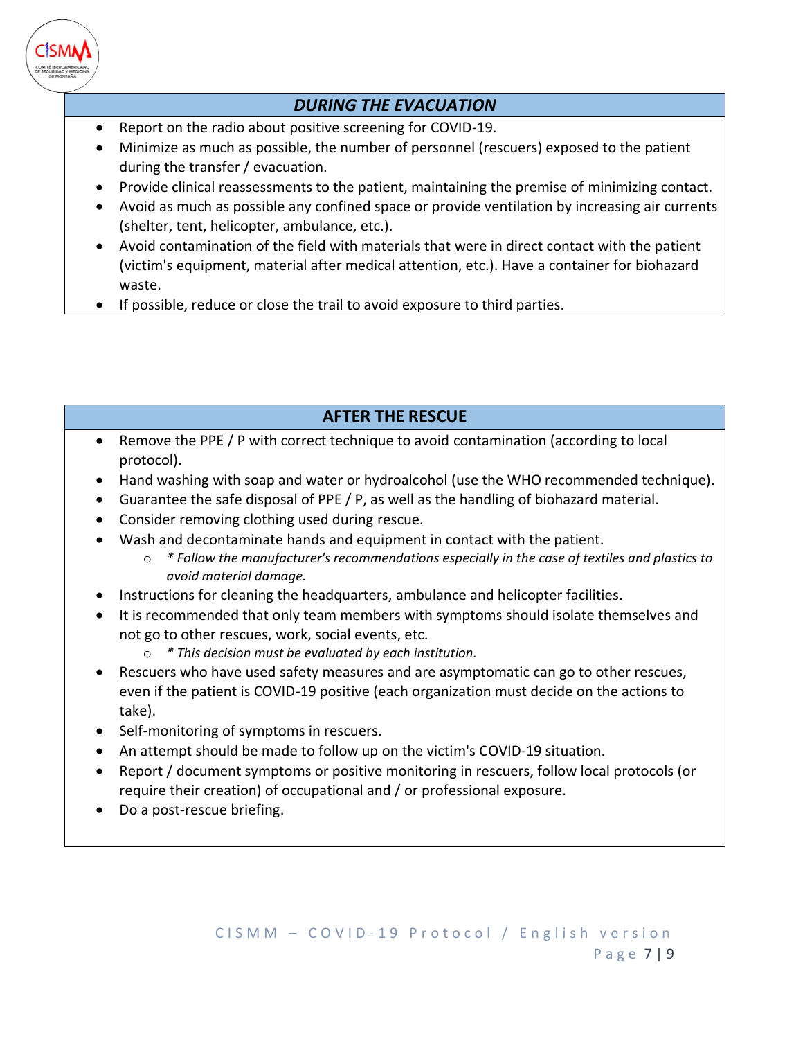

## *DURING THE EVACUATION*

- Report on the radio about positive screening for COVID-19.
- Minimize as much as possible, the number of personnel (rescuers) exposed to the patient during the transfer / evacuation.
- Provide clinical reassessments to the patient, maintaining the premise of minimizing contact.
- Avoid as much as possible any confined space or provide ventilation by increasing air currents (shelter, tent, helicopter, ambulance, etc.).
- Avoid contamination of the field with materials that were in direct contact with the patient (victim's equipment, material after medical attention, etc.). Have a container for biohazard waste.
- If possible, reduce or close the trail to avoid exposure to third parties.

# **AFTER THE RESCUE**

- Remove the PPE / P with correct technique to avoid contamination (according to local protocol).
- Hand washing with soap and water or hydroalcohol (use the WHO recommended technique).
- Guarantee the safe disposal of PPE / P, as well as the handling of biohazard material.
- Consider removing clothing used during rescue.
- Wash and decontaminate hands and equipment in contact with the patient.
	- o *\* Follow the manufacturer's recommendations especially in the case of textiles and plastics to avoid material damage.*
- Instructions for cleaning the headquarters, ambulance and helicopter facilities.
- It is recommended that only team members with symptoms should isolate themselves and not go to other rescues, work, social events, etc.
	- o *\* This decision must be evaluated by each institution.*
- Rescuers who have used safety measures and are asymptomatic can go to other rescues, even if the patient is COVID-19 positive (each organization must decide on the actions to take).
- Self-monitoring of symptoms in rescuers.
- An attempt should be made to follow up on the victim's COVID-19 situation.
- Report / document symptoms or positive monitoring in rescuers, follow local protocols (or require their creation) of occupational and / or professional exposure.
- Do a post-rescue briefing.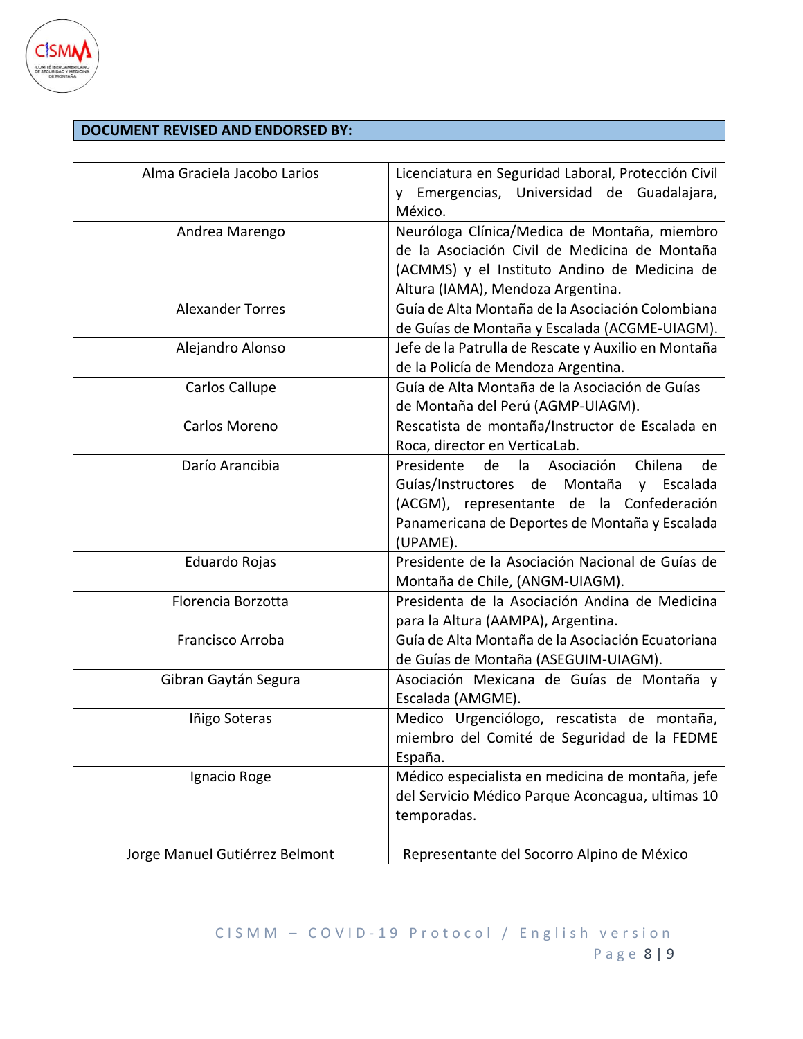

### **DOCUMENT REVISED AND ENDORSED BY:**

| Alma Graciela Jacobo Larios    | Licenciatura en Seguridad Laboral, Protección Civil<br>Emergencias, Universidad de Guadalajara,<br>México.                                                                                                   |
|--------------------------------|--------------------------------------------------------------------------------------------------------------------------------------------------------------------------------------------------------------|
| Andrea Marengo                 | Neuróloga Clínica/Medica de Montaña, miembro<br>de la Asociación Civil de Medicina de Montaña<br>(ACMMS) y el Instituto Andino de Medicina de<br>Altura (IAMA), Mendoza Argentina.                           |
| <b>Alexander Torres</b>        | Guía de Alta Montaña de la Asociación Colombiana<br>de Guías de Montaña y Escalada (ACGME-UIAGM).                                                                                                            |
| Alejandro Alonso               | Jefe de la Patrulla de Rescate y Auxilio en Montaña<br>de la Policía de Mendoza Argentina.                                                                                                                   |
| Carlos Callupe                 | Guía de Alta Montaña de la Asociación de Guías<br>de Montaña del Perú (AGMP-UIAGM).                                                                                                                          |
| Carlos Moreno                  | Rescatista de montaña/Instructor de Escalada en<br>Roca, director en VerticaLab.                                                                                                                             |
| Darío Arancibia                | Presidente<br>de<br>la<br>Asociación<br>Chilena<br>de<br>Guías/Instructores de Montaña y Escalada<br>(ACGM), representante de la Confederación<br>Panamericana de Deportes de Montaña y Escalada<br>(UPAME). |
| Eduardo Rojas                  | Presidente de la Asociación Nacional de Guías de<br>Montaña de Chile, (ANGM-UIAGM).                                                                                                                          |
| Florencia Borzotta             | Presidenta de la Asociación Andina de Medicina<br>para la Altura (AAMPA), Argentina.                                                                                                                         |
| Francisco Arroba               | Guía de Alta Montaña de la Asociación Ecuatoriana<br>de Guías de Montaña (ASEGUIM-UIAGM).                                                                                                                    |
| Gibran Gaytán Segura           | Asociación Mexicana de Guías de Montaña y<br>Escalada (AMGME).                                                                                                                                               |
| Iñigo Soteras                  | Medico Urgenciólogo, rescatista de montaña,<br>miembro del Comité de Seguridad de la FEDME<br>España.                                                                                                        |
| Ignacio Roge                   | Médico especialista en medicina de montaña, jefe<br>del Servicio Médico Parque Aconcagua, ultimas 10<br>temporadas.                                                                                          |
| Jorge Manuel Gutiérrez Belmont | Representante del Socorro Alpino de México                                                                                                                                                                   |